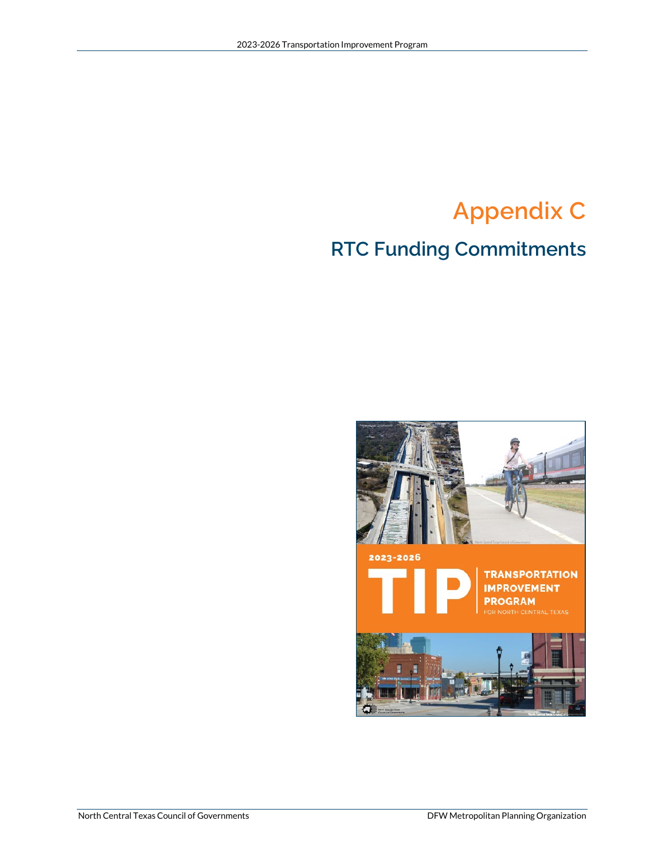## **Appendix C**

### **RTC Funding Commitments**